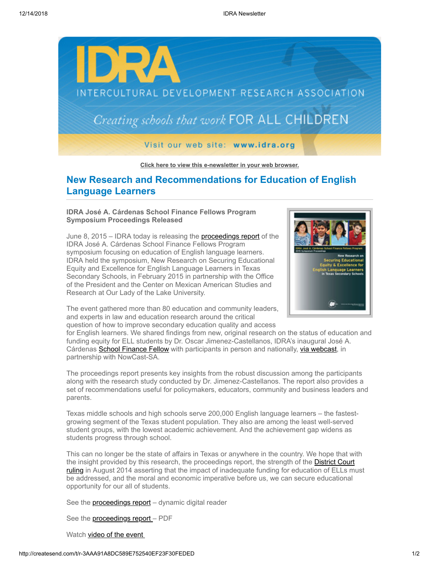

**[Click here to view this e-newsletter in your web browser.](http://newsletter.impulsedevelopment.com/t/r-e-airikjd-l-r/)**

## **New Research and Recommendations for Education of English Language Learners**

## **IDRA José A. Cárdenas School Finance Fellows Program Symposium Proceedings Released**

June 8, 2015 – IDRA today is releasing the **[proceedings report](http://idra.createsend1.com/t/r-l-airikjd-l-i/)** of the IDRA José A. Cárdenas School Finance Fellows Program symposium focusing on education of English language learners. IDRA held the symposium, New Research on Securing Educational Equity and Excellence for English Language Learners in Texas Secondary Schools, in February 2015 in partnership with the Office of the President and the Center on Mexican American Studies and Research at Our Lady of the Lake University.



The event gathered more than 80 education and community leaders, and experts in law and education research around the critical question of how to improve secondary education quality and access

for English learners. We shared findings from new, original research on the status of education and funding equity for ELL students by Dr. Oscar Jimenez-Castellanos, IDRA's inaugural José A. Cárdenas [School Finance Fellow](http://idra.createsend1.com/t/r-l-airikjd-l-d/) with participants in person and nationally, [via webcast,](http://idra.createsend1.com/t/r-l-airikjd-l-o/) in partnership with NowCast-SA.

The proceedings report presents key insights from the robust discussion among the participants along with the research study conducted by Dr. Jimenez-Castellanos. The report also provides a set of recommendations useful for policymakers, educators, community and business leaders and parents.

Texas middle schools and high schools serve 200,000 English language learners – the fastestgrowing segment of the Texas student population. They also are among the least well-served student groups, with the lowest academic achievement. And the achievement gap widens as students progress through school.

This can no longer be the state of affairs in Texas or anywhere in the country. We hope that with the insight provided by this research, the proceedings report, the strength of the **District Court** [ruling in August 2014 asserting that the impact of inadequate funding for education of ELLs m](http://idra.createsend1.com/t/r-l-airikjd-l-b/)ust be addressed, and the moral and economic imperative before us, we can secure educational opportunity for our all of students.

See the **proceedings report** – dynamic digital reader

See the **proceedings report** – PDF

Watch video of the event